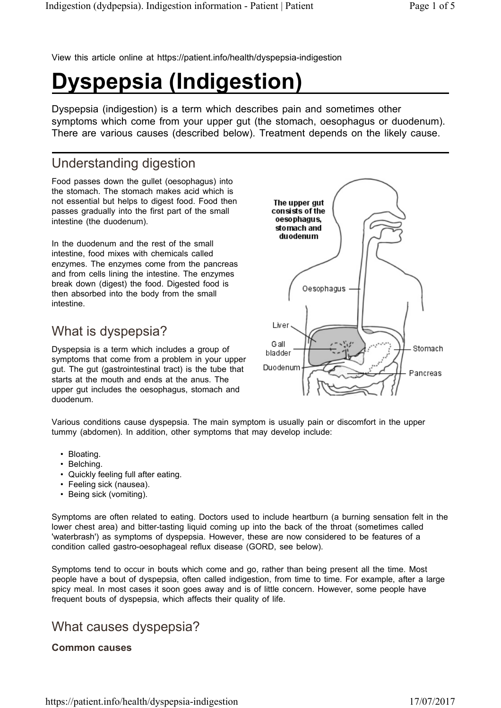View this article online at https://patient.info/health/dyspepsia-indigestion

# **Dyspepsia (Indigestion)**

Dyspepsia (indigestion) is a term which describes pain and sometimes other symptoms which come from your upper gut (the stomach, oesophagus or duodenum). There are various causes (described below). Treatment depends on the likely cause.

## Understanding digestion

Food passes down the gullet (oesophagus) into the stomach. The stomach makes acid which is not essential but helps to digest food. Food then passes gradually into the first part of the small intestine (the duodenum).

In the duodenum and the rest of the small intestine, food mixes with chemicals called enzymes. The enzymes come from the pancreas and from cells lining the intestine. The enzymes break down (digest) the food. Digested food is then absorbed into the body from the small intestine.

## What is dyspepsia?

Dyspepsia is a term which includes a group of symptoms that come from a problem in your upper gut. The gut (gastrointestinal tract) is the tube that starts at the mouth and ends at the anus. The upper gut includes the oesophagus, stomach and duodenum.



Various conditions cause dyspepsia. The main symptom is usually pain or discomfort in the upper tummy (abdomen). In addition, other symptoms that may develop include:

- Bloating.
- Belching.
- Quickly feeling full after eating.
- Feeling sick (nausea).
- Being sick (vomiting).

Symptoms are often related to eating. Doctors used to include heartburn (a burning sensation felt in the lower chest area) and bitter-tasting liquid coming up into the back of the throat (sometimes called 'waterbrash') as symptoms of dyspepsia. However, these are now considered to be features of a condition called gastro-oesophageal reflux disease (GORD, see below).

Symptoms tend to occur in bouts which come and go, rather than being present all the time. Most people have a bout of dyspepsia, often called indigestion, from time to time. For example, after a large spicy meal. In most cases it soon goes away and is of little concern. However, some people have frequent bouts of dyspepsia, which affects their quality of life.

### What causes dyspepsia?

#### **Common causes**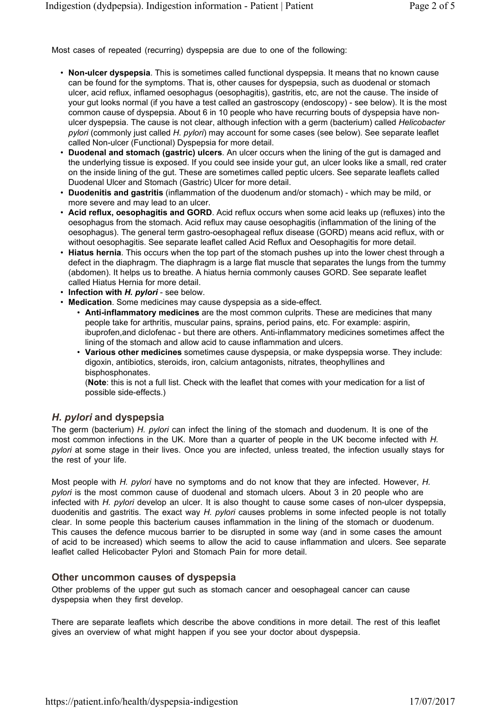Most cases of repeated (recurring) dyspepsia are due to one of the following:

- **Non-ulcer dyspepsia**. This is sometimes called functional dyspepsia. It means that no known cause can be found for the symptoms. That is, other causes for dyspepsia, such as duodenal or stomach ulcer, acid reflux, inflamed oesophagus (oesophagitis), gastritis, etc, are not the cause. The inside of your gut looks normal (if you have a test called an gastroscopy (endoscopy) - see below). It is the most common cause of dyspepsia. About 6 in 10 people who have recurring bouts of dyspepsia have nonulcer dyspepsia. The cause is not clear, although infection with a germ (bacterium) called *Helicobacter pylori* (commonly just called *H. pylori*) may account for some cases (see below). See separate leaflet called Non-ulcer (Functional) Dyspepsia for more detail.
- **Duodenal and stomach (gastric) ulcers**. An ulcer occurs when the lining of the gut is damaged and the underlying tissue is exposed. If you could see inside your gut, an ulcer looks like a small, red crater on the inside lining of the gut. These are sometimes called peptic ulcers. See separate leaflets called Duodenal Ulcer and Stomach (Gastric) Ulcer for more detail.
- **Duodenitis and gastritis** (inflammation of the duodenum and/or stomach) which may be mild, or more severe and may lead to an ulcer.
- **Acid reflux, oesophagitis and GORD**. Acid reflux occurs when some acid leaks up (refluxes) into the oesophagus from the stomach. Acid reflux may cause oesophagitis (inflammation of the lining of the oesophagus). The general term gastro-oesophageal reflux disease (GORD) means acid reflux, with or without oesophagitis. See separate leaflet called Acid Reflux and Oesophagitis for more detail.
- **Hiatus hernia**. This occurs when the top part of the stomach pushes up into the lower chest through a defect in the diaphragm. The diaphragm is a large flat muscle that separates the lungs from the tummy (abdomen). It helps us to breathe. A hiatus hernia commonly causes GORD. See separate leaflet called Hiatus Hernia for more detail.
- **Infection with** *H. pylori* see below.
- **Medication**. Some medicines may cause dyspepsia as a side-effect.
	- **Anti-inflammatory medicines** are the most common culprits. These are medicines that many people take for arthritis, muscular pains, sprains, period pains, etc. For example: aspirin, ibuprofen,and diclofenac - but there are others. Anti-inflammatory medicines sometimes affect the lining of the stomach and allow acid to cause inflammation and ulcers.
	- **Various other medicines** sometimes cause dyspepsia, or make dyspepsia worse. They include: digoxin, antibiotics, steroids, iron, calcium antagonists, nitrates, theophyllines and bisphosphonates.

(**Note**: this is not a full list. Check with the leaflet that comes with your medication for a list of possible side-effects.)

#### *H. pylori* **and dyspepsia**

The germ (bacterium) *H. pylori* can infect the lining of the stomach and duodenum. It is one of the most common infections in the UK. More than a quarter of people in the UK become infected with *H. pylori* at some stage in their lives. Once you are infected, unless treated, the infection usually stays for the rest of your life.

Most people with *H. pylori* have no symptoms and do not know that they are infected. However, *H. pylori* is the most common cause of duodenal and stomach ulcers. About 3 in 20 people who are infected with *H. pylori* develop an ulcer. It is also thought to cause some cases of non-ulcer dyspepsia, duodenitis and gastritis. The exact way *H. pylori* causes problems in some infected people is not totally clear. In some people this bacterium causes inflammation in the lining of the stomach or duodenum. This causes the defence mucous barrier to be disrupted in some way (and in some cases the amount of acid to be increased) which seems to allow the acid to cause inflammation and ulcers. See separate leaflet called Helicobacter Pylori and Stomach Pain for more detail.

#### **Other uncommon causes of dyspepsia**

Other problems of the upper gut such as stomach cancer and oesophageal cancer can cause dyspepsia when they first develop.

There are separate leaflets which describe the above conditions in more detail. The rest of this leaflet gives an overview of what might happen if you see your doctor about dyspepsia.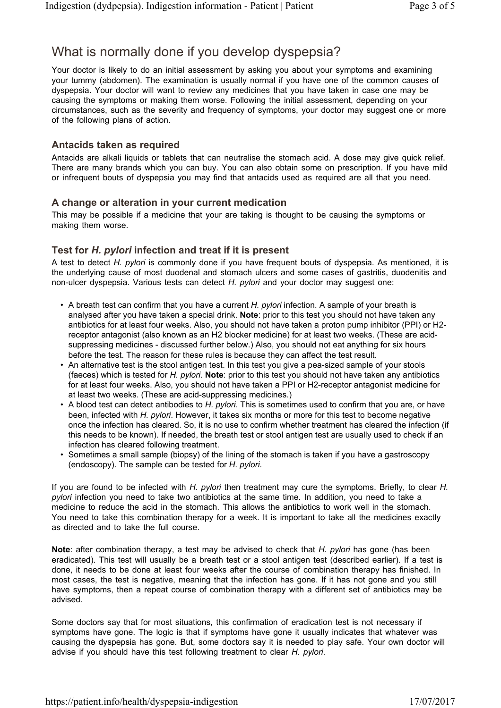## What is normally done if you develop dyspepsia?

Your doctor is likely to do an initial assessment by asking you about your symptoms and examining your tummy (abdomen). The examination is usually normal if you have one of the common causes of dyspepsia. Your doctor will want to review any medicines that you have taken in case one may be causing the symptoms or making them worse. Following the initial assessment, depending on your circumstances, such as the severity and frequency of symptoms, your doctor may suggest one or more of the following plans of action.

#### **Antacids taken as required**

Antacids are alkali liquids or tablets that can neutralise the stomach acid. A dose may give quick relief. There are many brands which you can buy. You can also obtain some on prescription. If you have mild or infrequent bouts of dyspepsia you may find that antacids used as required are all that you need.

#### **A change or alteration in your current medication**

This may be possible if a medicine that your are taking is thought to be causing the symptoms or making them worse.

#### **Test for** *H. pylori* **infection and treat if it is present**

A test to detect *H. pylori* is commonly done if you have frequent bouts of dyspepsia. As mentioned, it is the underlying cause of most duodenal and stomach ulcers and some cases of gastritis, duodenitis and non-ulcer dyspepsia. Various tests can detect *H. pylori* and your doctor may suggest one:

- A breath test can confirm that you have a current *H. pylori* infection. A sample of your breath is analysed after you have taken a special drink. **Note**: prior to this test you should not have taken any antibiotics for at least four weeks. Also, you should not have taken a proton pump inhibitor (PPI) or H2 receptor antagonist (also known as an H2 blocker medicine) for at least two weeks. (These are acidsuppressing medicines - discussed further below.) Also, you should not eat anything for six hours before the test. The reason for these rules is because they can affect the test result.
- An alternative test is the stool antigen test. In this test you give a pea-sized sample of your stools (faeces) which is tested for *H. pylori*. **Note**: prior to this test you should not have taken any antibiotics for at least four weeks. Also, you should not have taken a PPI or H2-receptor antagonist medicine for at least two weeks. (These are acid-suppressing medicines.)
- A blood test can detect antibodies to *H. pylori*. This is sometimes used to confirm that you are, or have been, infected with *H. pylori*. However, it takes six months or more for this test to become negative once the infection has cleared. So, it is no use to confirm whether treatment has cleared the infection (if this needs to be known). If needed, the breath test or stool antigen test are usually used to check if an infection has cleared following treatment.
- Sometimes a small sample (biopsy) of the lining of the stomach is taken if you have a gastroscopy (endoscopy). The sample can be tested for *H. pylori*.

If you are found to be infected with *H. pylori* then treatment may cure the symptoms. Briefly, to clear *H. pylori* infection you need to take two antibiotics at the same time. In addition, you need to take a medicine to reduce the acid in the stomach. This allows the antibiotics to work well in the stomach. You need to take this combination therapy for a week. It is important to take all the medicines exactly as directed and to take the full course.

**Note**: after combination therapy, a test may be advised to check that *H. pylori* has gone (has been eradicated). This test will usually be a breath test or a stool antigen test (described earlier). If a test is done, it needs to be done at least four weeks after the course of combination therapy has finished. In most cases, the test is negative, meaning that the infection has gone. If it has not gone and you still have symptoms, then a repeat course of combination therapy with a different set of antibiotics may be advised.

Some doctors say that for most situations, this confirmation of eradication test is not necessary if symptoms have gone. The logic is that if symptoms have gone it usually indicates that whatever was causing the dyspepsia has gone. But, some doctors say it is needed to play safe. Your own doctor will advise if you should have this test following treatment to clear *H. pylori*.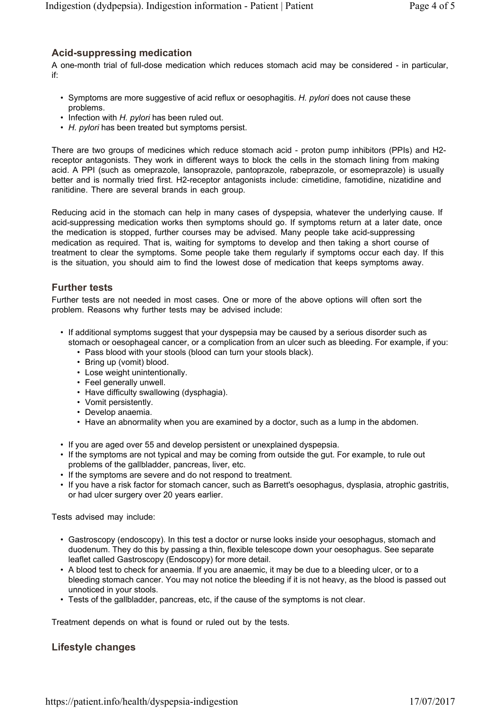#### **Acid-suppressing medication**

A one-month trial of full-dose medication which reduces stomach acid may be considered - in particular, if:

- Symptoms are more suggestive of acid reflux or oesophagitis. *H. pylori* does not cause these problems.
- Infection with *H. pylori* has been ruled out.
- *H. pylori* has been treated but symptoms persist.

There are two groups of medicines which reduce stomach acid - proton pump inhibitors (PPIs) and H2 receptor antagonists. They work in different ways to block the cells in the stomach lining from making acid. A PPI (such as omeprazole, lansoprazole, pantoprazole, rabeprazole, or esomeprazole) is usually better and is normally tried first. H2-receptor antagonists include: cimetidine, famotidine, nizatidine and ranitidine. There are several brands in each group.

Reducing acid in the stomach can help in many cases of dyspepsia, whatever the underlying cause. If acid-suppressing medication works then symptoms should go. If symptoms return at a later date, once the medication is stopped, further courses may be advised. Many people take acid-suppressing medication as required. That is, waiting for symptoms to develop and then taking a short course of treatment to clear the symptoms. Some people take them regularly if symptoms occur each day. If this is the situation, you should aim to find the lowest dose of medication that keeps symptoms away.

#### **Further tests**

Further tests are not needed in most cases. One or more of the above options will often sort the problem. Reasons why further tests may be advised include:

- If additional symptoms suggest that your dyspepsia may be caused by a serious disorder such as stomach or oesophageal cancer, or a complication from an ulcer such as bleeding. For example, if you:
	- Pass blood with your stools (blood can turn your stools black).
	- Bring up (vomit) blood.
	- Lose weight unintentionally.
	- Feel generally unwell.
	- Have difficulty swallowing (dysphagia).
	- Vomit persistently.
	- Develop anaemia.
	- Have an abnormality when you are examined by a doctor, such as a lump in the abdomen.
- If you are aged over 55 and develop persistent or unexplained dyspepsia.
- If the symptoms are not typical and may be coming from outside the gut. For example, to rule out problems of the gallbladder, pancreas, liver, etc.
- If the symptoms are severe and do not respond to treatment.
- If you have a risk factor for stomach cancer, such as Barrett's oesophagus, dysplasia, atrophic gastritis, or had ulcer surgery over 20 years earlier.

Tests advised may include:

- Gastroscopy (endoscopy). In this test a doctor or nurse looks inside your oesophagus, stomach and duodenum. They do this by passing a thin, flexible telescope down your oesophagus. See separate leaflet called Gastroscopy (Endoscopy) for more detail.
- A blood test to check for anaemia. If you are anaemic, it may be due to a bleeding ulcer, or to a bleeding stomach cancer. You may not notice the bleeding if it is not heavy, as the blood is passed out unnoticed in your stools.
- Tests of the gallbladder, pancreas, etc, if the cause of the symptoms is not clear.

Treatment depends on what is found or ruled out by the tests.

#### **Lifestyle changes**